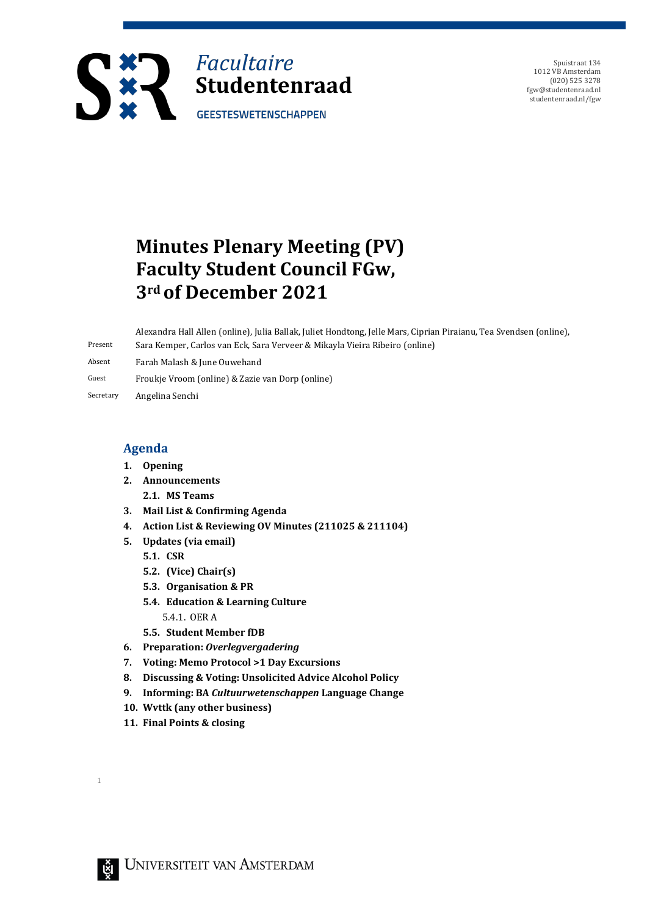

Spuistraat 134 1012 VB Amsterdam (020) 525 3278 fgw@studentenraad.nl studentenraad.nl/fgw

# **Minutes Plenary Meeting (PV) Faculty Student Council FGw, 3rd of December 2021**

Present Alexandra Hall Allen (online), Julia Ballak, Juliet Hondtong, Jelle Mars, Ciprian Piraianu, Tea Svendsen (online), Sara Kemper, Carlos van Eck, Sara Verveer & Mikayla Vieira Ribeiro (online)

Absent Farah Malash & June Ouwehand

Guest Froukje Vroom (online) & Zazie van Dorp (online)

Secretary Angelina Senchi

### **Agenda**

- **1. Opening**
- **2. Announcements**
	- **2.1. MS Teams**
- **3. Mail List & Confirming Agenda**
- **4. Action List & Reviewing OV Minutes (211025 & 211104)**
- **5. Updates (via email)**
	- **5.1. CSR**
	- **5.2. (Vice) Chair(s)**
	- **5.3. Organisation & PR**
	- **5.4. Education & Learning Culture** 
		- 5.4.1. OER A
	- **5.5. Student Member fDB**
- **6. Preparation:** *Overlegvergadering*
- **7. Voting: Memo Protocol >1 Day Excursions**
- **8. Discussing & Voting: Unsolicited Advice Alcohol Policy**
- **9. Informing: BA** *Cultuurwetenschappen* **Language Change**
- **10. Wvttk (any other business)**
- **11. Final Points & closing**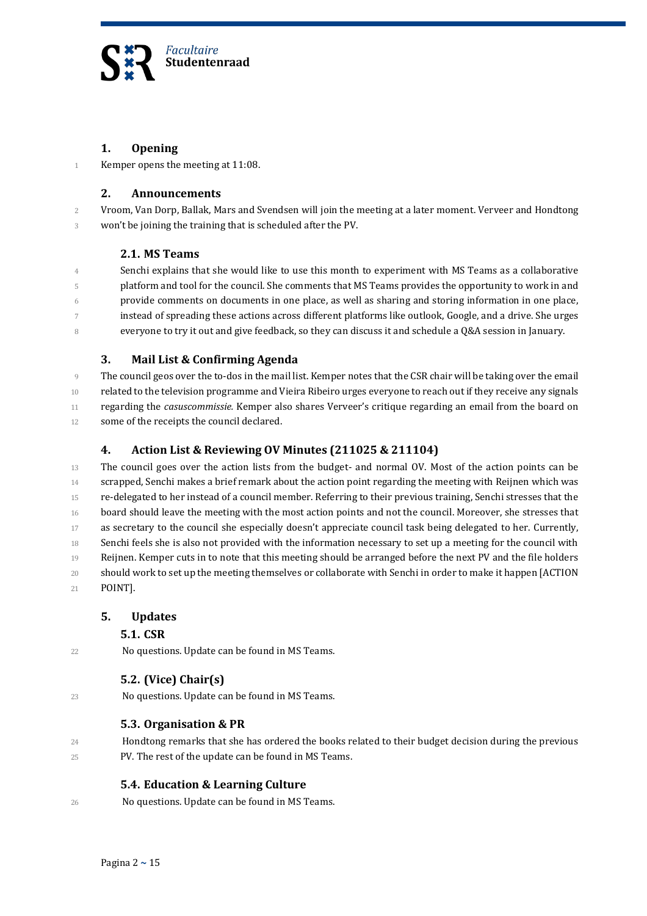

#### **1. Opening**

1 Kemper opens the meeting at 11:08.

#### **2. Announcements**

2 Vroom, Van Dorp, Ballak, Mars and Svendsen will join the meeting at a later moment. Verveer and Hondtong 3 won't be joining the training that is scheduled after the PV.

#### **2.1. MS Teams**

 Senchi explains that she would like to use this month to experiment with MS Teams as a collaborative platform and tool for the council. She comments that MS Teams provides the opportunity to work in and provide comments on documents in one place, as well as sharing and storing information in one place, instead of spreading these actions across different platforms like outlook, Google, and a drive. She urges everyone to try it out and give feedback, so they can discuss it and schedule a Q&A session in January.

#### **3. Mail List & Confirming Agenda**

9 The council geos over the to-dos in the mail list. Kemper notes that the CSR chair will be taking over the email 10 related to the television programme and Vieira Ribeiro urges everyone to reach out if they receive any signals 11 regarding the *casuscommissie*. Kemper also shares Verveer's critique regarding an email from the board on 12 some of the receipts the council declared.

#### **4. Action List & Reviewing OV Minutes (211025 & 211104)**

 The council goes over the action lists from the budget- and normal OV. Most of the action points can be 14 scrapped, Senchi makes a brief remark about the action point regarding the meeting with Reijnen which was re-delegated to her instead of a council member. Referring to their previous training, Senchi stresses that the board should leave the meeting with the most action points and not the council. Moreover, she stresses that 17 as secretary to the council she especially doesn't appreciate council task being delegated to her. Currently, Senchi feels she is also not provided with the information necessary to set up a meeting for the council with Reijnen. Kemper cuts in to note that this meeting should be arranged before the next PV and the file holders should work to set up the meeting themselves or collaborate with Senchi in order to make it happen [ACTION 21 POINT].

### **5. Updates**

### **5.1. CSR**

22 No questions. Update can be found in MS Teams.

- **5.2. (Vice) Chair(s)**
- 23 No questions. Update can be found in MS Teams.

### **5.3. Organisation & PR**

24 Hondtong remarks that she has ordered the books related to their budget decision during the previous 25 PV. The rest of the update can be found in MS Teams.

### **5.4. Education & Learning Culture**

26 No questions. Update can be found in MS Teams.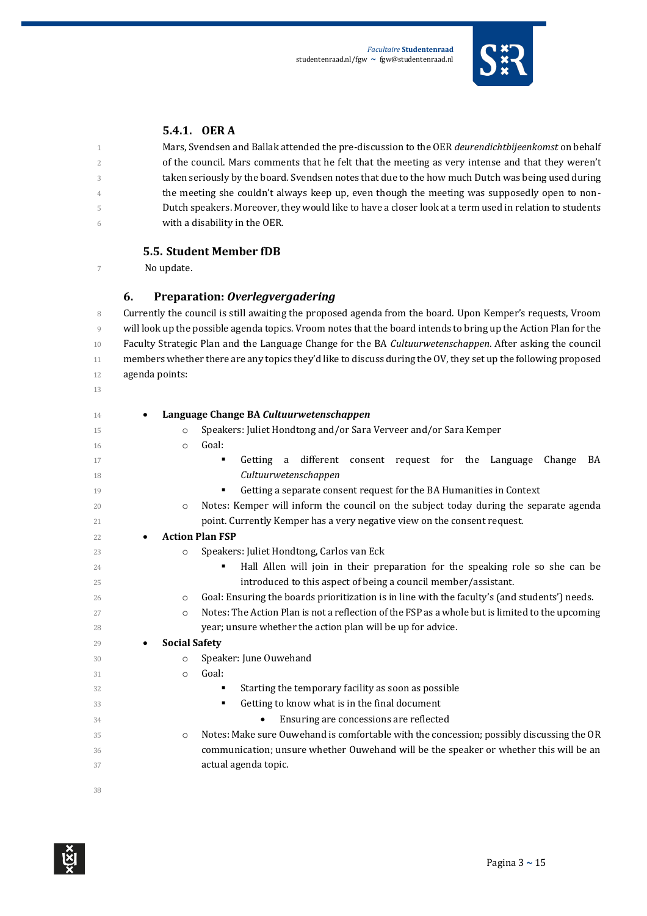

### **5.4.1. OER A**

 Mars, Svendsen and Ballak attended the pre-discussion to the OER *deurendichtbijeenkomst* on behalf 2 of the council. Mars comments that he felt that the meeting as very intense and that they weren't taken seriously by the board. Svendsen notes that due to the how much Dutch was being used during <sup>4</sup> the meeting she couldn't always keep up, even though the meeting was supposedly open to non- Dutch speakers. Moreover, they would like to have a closer look at a term used in relation to students with a disability in the OER.

#### **5.5. Student Member fDB**

No update.

### **6. Preparation:** *Overlegvergadering*

8 Currently the council is still awaiting the proposed agenda from the board. Upon Kemper's requests, Vroom will look up the possible agenda topics. Vroom notes that the board intends to bring up the Action Plan for the Faculty Strategic Plan and the Language Change for the BA *Cultuurwetenschappen*. After asking the council 11 members whether there are any topics they'd like to discuss during the OV, they set up the following proposed agenda points: 

| 14 | ٠                                 | Language Change BA Cultuurwetenschappen                                                         |
|----|-----------------------------------|-------------------------------------------------------------------------------------------------|
| 15 | $\circ$                           | Speakers: Juliet Hondtong and/or Sara Verveer and/or Sara Kemper                                |
| 16 | $\circ$                           | Goal:                                                                                           |
| 17 |                                   | a different consent request for the Language<br>Getting<br>Change<br>BA                         |
| 18 |                                   | Cultuurwetenschappen                                                                            |
| 19 |                                   | Getting a separate consent request for the BA Humanities in Context                             |
| 20 | $\circ$                           | Notes: Kemper will inform the council on the subject today during the separate agenda           |
| 21 |                                   | point. Currently Kemper has a very negative view on the consent request.                        |
| 22 | ٠                                 | <b>Action Plan FSP</b>                                                                          |
| 23 | $\circ$                           | Speakers: Juliet Hondtong, Carlos van Eck                                                       |
| 24 |                                   | Hall Allen will join in their preparation for the speaking role so she can be                   |
| 25 |                                   | introduced to this aspect of being a council member/assistant.                                  |
| 26 | $\circ$                           | Goal: Ensuring the boards prioritization is in line with the faculty's (and students') needs.   |
| 27 | $\Omega$                          | Notes: The Action Plan is not a reflection of the FSP as a whole but is limited to the upcoming |
| 28 |                                   | year; unsure whether the action plan will be up for advice.                                     |
| 29 | <b>Social Safety</b><br>$\bullet$ |                                                                                                 |
| 30 | $\circ$                           | Speaker: June Ouwehand                                                                          |
| 31 | $\circ$                           | Goal:                                                                                           |
| 32 |                                   | Starting the temporary facility as soon as possible                                             |
| 33 |                                   | Getting to know what is in the final document                                                   |
| 34 |                                   | Ensuring are concessions are reflected<br>٠                                                     |
| 35 | $\circ$                           | Notes: Make sure Ouwehand is comfortable with the concession; possibly discussing the OR        |
| 36 |                                   | communication; unsure whether Ouwehand will be the speaker or whether this will be an           |
| 37 |                                   | actual agenda topic.                                                                            |
|    |                                   |                                                                                                 |
| 38 |                                   |                                                                                                 |

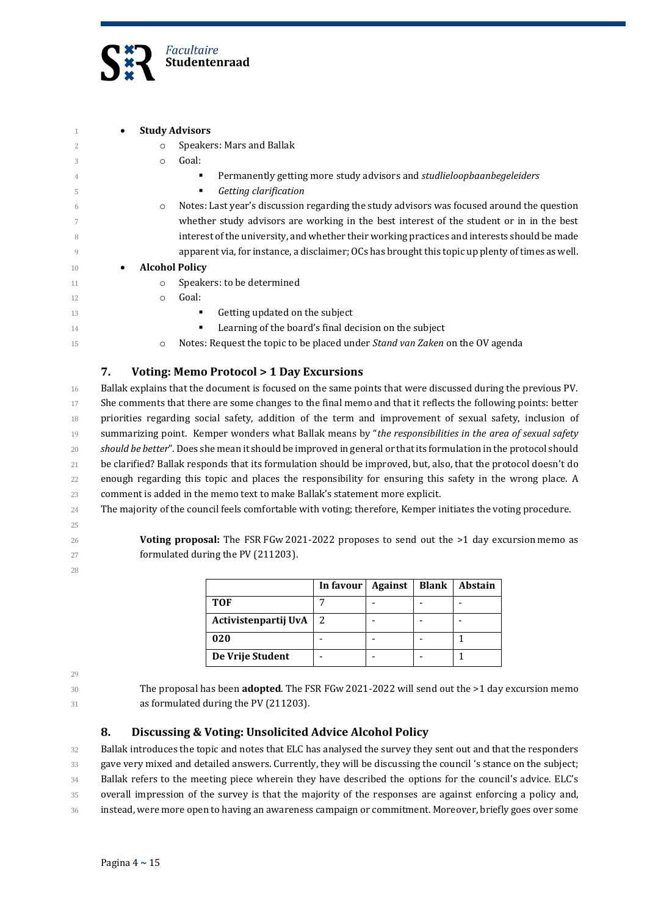

| ٠              |                       | <b>Study Advisors</b>                                                                            |
|----------------|-----------------------|--------------------------------------------------------------------------------------------------|
| $\overline{2}$ | $\circ$               | Speakers: Mars and Ballak                                                                        |
| 3              | $\circ$               | Goal:                                                                                            |
| 4              |                       | Permanently getting more study advisors and <i>studlieloopbaanbegeleiders</i>                    |
| 5              |                       | Getting clarification<br>٠                                                                       |
| 6              | $\circ$               | Notes: Last year's discussion regarding the study advisors was focused around the question       |
| 7              |                       | whether study advisors are working in the best interest of the student or in in the best         |
| 8              |                       | interest of the university, and whether their working practices and interests should be made     |
| 9              |                       | apparent via, for instance, a disclaimer; OCs has brought this topic up plenty of times as well. |
| 10<br>٠        | <b>Alcohol Policy</b> |                                                                                                  |
| 11             | O                     | Speakers: to be determined                                                                       |
| 12             | $\circ$               | Goal:                                                                                            |
| 13             |                       | Getting updated on the subject<br>٠                                                              |
| 14             |                       | Learning of the board's final decision on the subject<br>٠                                       |
| 15             | $\circ$               | Notes: Request the topic to be placed under <i>Stand van Zaken</i> on the OV agenda              |

#### **7. Voting: Memo Protocol > 1 Day Excursions**

 Ballak explains that the document is focused on the same points that were discussed during the previous PV. She comments that there are some changes to the final memo and that it reflects the following points: better priorities regarding social safety, addition of the term and improvement of sexual safety, inclusion of 19 summarizing point. Kemper wonders what Ballak means by "the responsibilities in the area of sexual safety *should be better*". Does she mean it should be improved in general or that its formulation in the protocol should be clarified? Ballak responds that its formulation should be improved, but, also, that the protocol doesn't do enough regarding this topic and places the responsibility for ensuring this safety in the wrong place. A 23 comment is added in the memo text to make Ballak's statement more explicit.

- The majority of the council feels comfortable with voting; therefore, Kemper initiates the voting procedure.
- 

**Voting proposal:** The FSR FGw 2021-2022 proposes to send out the >1 day excursion memo as 27 formulated during the PV (211203).

> **In favour | Against | Blank | Abstain TOF** 7 - - - Activistenpartij UvA | 2 | - | - | - - 1 - 1 1 **De Vrije Student** | - | - | - | - | 1

30 The proposal has been **adopted**. The FSR FGw 2021-2022 will send out the >1 day excursion memo 31 as formulated during the PV (211203).

### **8. Discussing & Voting: Unsolicited Advice Alcohol Policy**

 Ballak introduces the topic and notes that ELC has analysed the survey they sent out and that the responders 33 gave very mixed and detailed answers. Currently, they will be discussing the council 's stance on the subject; 34 Ballak refers to the meeting piece wherein they have described the options for the council's advice. ELC's overall impression of the survey is that the majority of the responses are against enforcing a policy and, instead, were more open to having an awareness campaign or commitment. Moreover, briefly goes over some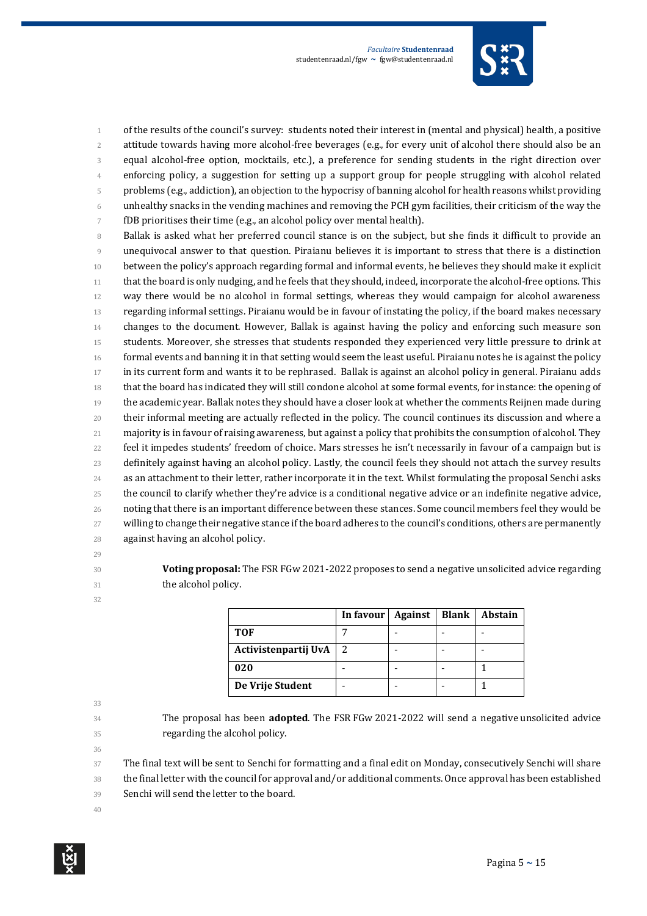

1 of the results of the council's survey: students noted their interest in (mental and physical) health, a positive attitude towards having more alcohol-free beverages (e.g., for every unit of alcohol there should also be an equal alcohol-free option, mocktails, etc.), a preference for sending students in the right direction over enforcing policy, a suggestion for setting up a support group for people struggling with alcohol related problems (e.g., addiction), an objection to the hypocrisy of banning alcohol for health reasons whilst providing unhealthy snacks in the vending machines and removing the PCH gym facilities, their criticism of the way the fDB prioritises their time (e.g., an alcohol policy over mental health).

 Ballak is asked what her preferred council stance is on the subject, but she finds it difficult to provide an unequivocal answer to that question. Piraianu believes it is important to stress that there is a distinction 10 between the policy's approach regarding formal and informal events, he believes they should make it explicit that the board is only nudging, and he feels that they should, indeed, incorporate the alcohol-free options. This way there would be no alcohol in formal settings, whereas they would campaign for alcohol awareness regarding informal settings. Piraianu would be in favour of instating the policy, if the board makes necessary changes to the document. However, Ballak is against having the policy and enforcing such measure son students. Moreover, she stresses that students responded they experienced very little pressure to drink at formal events and banning it in that setting would seem the least useful. Piraianu notes he is against the policy in its current form and wants it to be rephrased. Ballak is against an alcohol policy in general. Piraianu adds that the board has indicated they will still condone alcohol at some formal events, for instance: the opening of the academic year. Ballak notes they should have a closer look at whether the comments Reijnen made during their informal meeting are actually reflected in the policy. The council continues its discussion and where a majority is in favour of raising awareness, but against a policy that prohibits the consumption of alcohol. They 22 feel it impedes students' freedom of choice. Mars stresses he isn't necessarily in favour of a campaign but is definitely against having an alcohol policy. Lastly, the council feels they should not attach the survey results as an attachment to their letter, rather incorporate it in the text. Whilst formulating the proposal Senchi asks 25 the council to clarify whether they're advice is a conditional negative advice or an indefinite negative advice, noting that there is an important difference between these stances. Some council members feel they would be 27 willing to change their negative stance if the board adheres to the council's conditions, others are permanently against having an alcohol policy.

- 
- 

**Voting proposal:** The FSR FGw 2021-2022 proposes to send a negative unsolicited advice regarding **the alcohol policy.** 

|                      | In favour $\vert$ | Against | <b>Blank</b> | Abstain |
|----------------------|-------------------|---------|--------------|---------|
| <b>TOF</b>           |                   |         |              |         |
| Activistenpartij UvA |                   |         |              |         |
| 020                  |                   |         |              |         |
| De Vrije Student     |                   |         |              |         |

- 
- 
- 
- 34 The proposal has been **adopted**. The FSR FGw 2021-2022 will send a negative unsolicited advice 35 regarding the alcohol policy.
- 

The final text will be sent to Senchi for formatting and a final edit on Monday, consecutively Senchi will share

 the final letter with the council for approval and/or additional comments. Once approval has been established Senchi will send the letter to the board.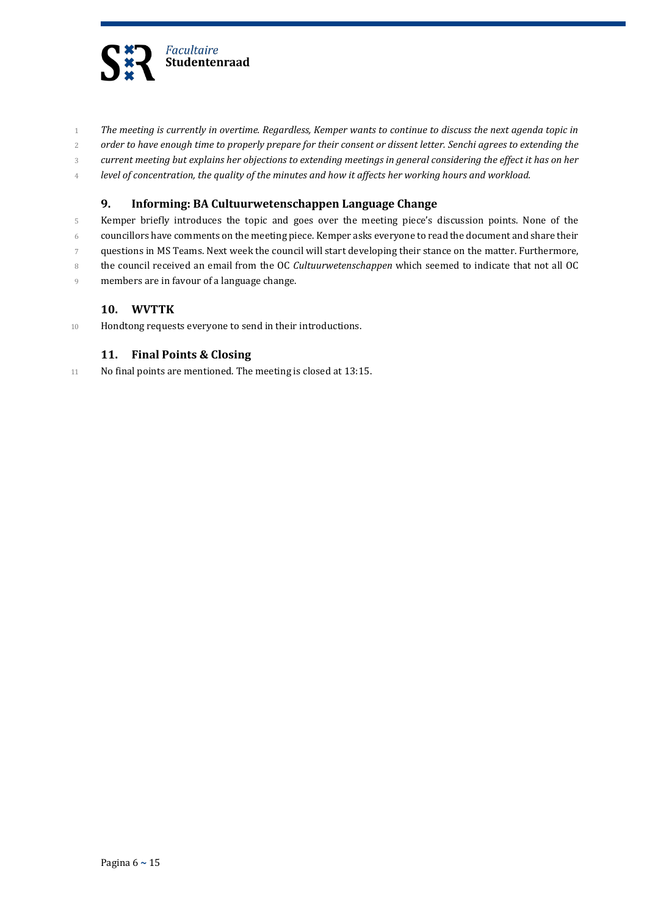

- 1 *The meeting is currently in overtime. Regardless, Kemper wants to continue to discuss the next agenda topic in*
- 2 *order to have enough time to properly prepare for their consent or dissent letter. Senchi agrees to extending the*
- 3 *current meeting but explains her objections to extending meetings in general considering the effect it has on her*
- 4 *level of concentration, the quality of the minutes and how it affects her working hours and workload.*

#### **9. Informing: BA Cultuurwetenschappen Language Change**

- 5 Kemper briefly introduces the topic and goes over the meeting piece's discussion points. None of the
- 6 councillors have comments on the meeting piece. Kemper asks everyone to read the document and share their
- 7 questions in MS Teams. Next week the council will start developing their stance on the matter. Furthermore,
- 8 the council received an email from the OC *Cultuurwetenschappen* which seemed to indicate that not all OC
- 9 members are in favour of a language change.

### **10. WVTTK**

10 Hondtong requests everyone to send in their introductions.

#### **11. Final Points & Closing**

11 No final points are mentioned. The meeting is closed at 13:15.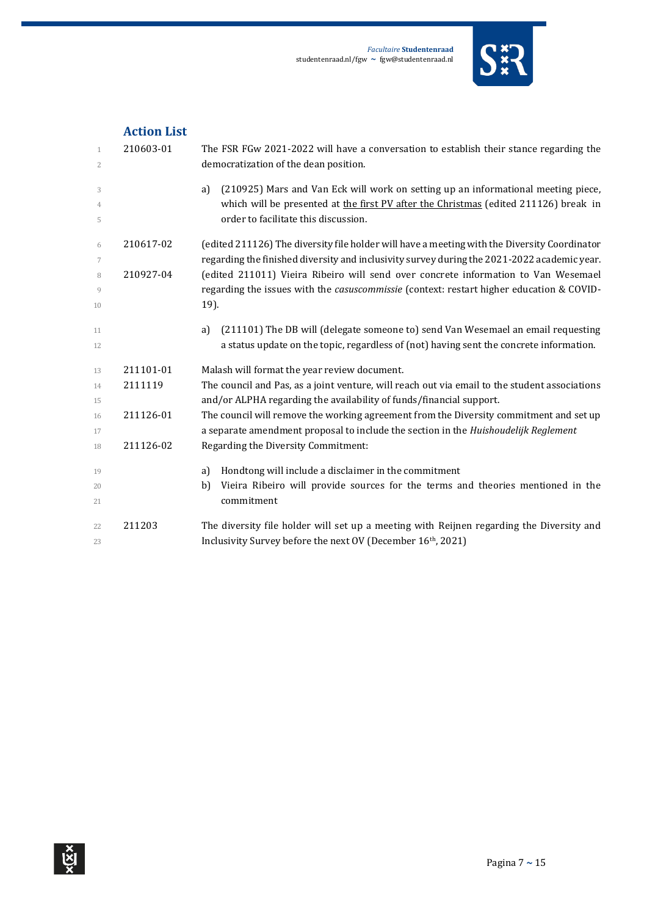

|                              | ACLION LISL |                                                                                                                                 |
|------------------------------|-------------|---------------------------------------------------------------------------------------------------------------------------------|
| $\mathbf{1}$<br>$\mathbf{2}$ | 210603-01   | The FSR FGw 2021-2022 will have a conversation to establish their stance regarding the<br>democratization of the dean position. |
|                              |             |                                                                                                                                 |
| 3                            |             | (210925) Mars and Van Eck will work on setting up an informational meeting piece,<br>a)                                         |
| $\overline{4}$               |             | which will be presented at the first PV after the Christmas (edited 211126) break in                                            |
| 5                            |             | order to facilitate this discussion.                                                                                            |
| 6                            | 210617-02   | (edited 211126) The diversity file holder will have a meeting with the Diversity Coordinator                                    |
| 7                            |             | regarding the finished diversity and inclusivity survey during the 2021-2022 academic year.                                     |
| 8                            | 210927-04   | (edited 211011) Vieira Ribeiro will send over concrete information to Van Wesemael                                              |
| 9                            |             | regarding the issues with the <i>casuscommissie</i> (context: restart higher education & COVID-                                 |
| 10                           |             | 19).                                                                                                                            |
| 11                           |             | (211101) The DB will (delegate someone to) send Van Wesemael an email requesting<br>a)                                          |
| 12                           |             | a status update on the topic, regardless of (not) having sent the concrete information.                                         |
| 13                           | 211101-01   | Malash will format the year review document.                                                                                    |
| 14                           | 2111119     | The council and Pas, as a joint venture, will reach out via email to the student associations                                   |
| 15                           |             | and/or ALPHA regarding the availability of funds/financial support.                                                             |
| 16                           | 211126-01   | The council will remove the working agreement from the Diversity commitment and set up                                          |
| 17                           |             | a separate amendment proposal to include the section in the Huishoudelijk Reglement                                             |
| 18                           | 211126-02   | Regarding the Diversity Commitment:                                                                                             |
| 19                           |             | Hondtong will include a disclaimer in the commitment<br>a)                                                                      |
| 20                           |             | Vieira Ribeiro will provide sources for the terms and theories mentioned in the<br>b)                                           |
| 21                           |             | commitment                                                                                                                      |
| 22                           | 211203      | The diversity file holder will set up a meeting with Reijnen regarding the Diversity and                                        |
| 23                           |             | Inclusivity Survey before the next OV (December 16th, 2021)                                                                     |

## **Action List**

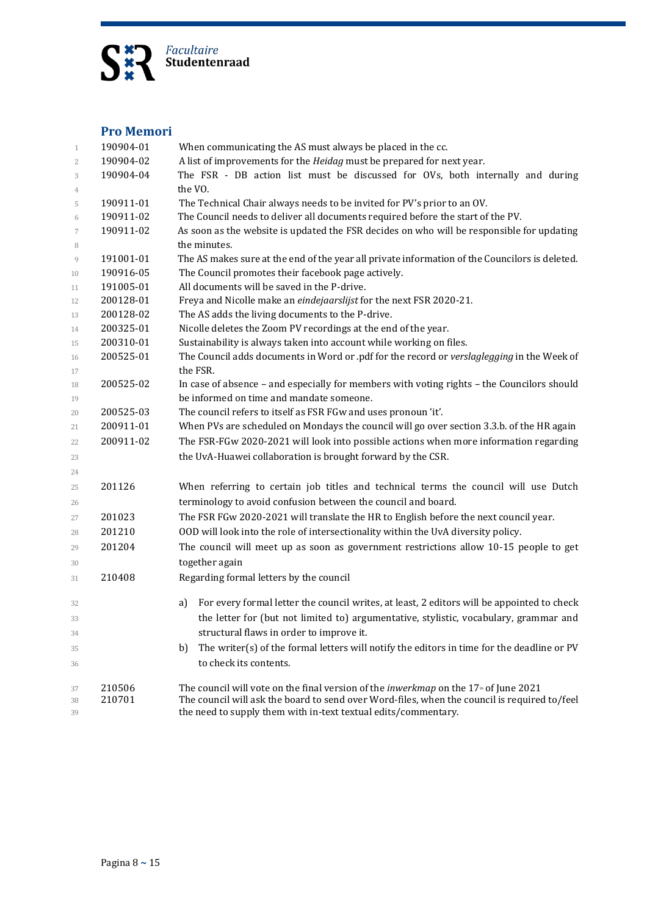

## **Pro Memori**

| 1              | 190904-01 | When communicating the AS must always be placed in the cc.                                              |  |  |  |
|----------------|-----------|---------------------------------------------------------------------------------------------------------|--|--|--|
| $\overline{c}$ | 190904-02 | A list of improvements for the <i>Heidag</i> must be prepared for next year.                            |  |  |  |
| 3              | 190904-04 | The FSR - DB action list must be discussed for OVs, both internally and during                          |  |  |  |
| 4              |           | the VO.                                                                                                 |  |  |  |
| 5              | 190911-01 | The Technical Chair always needs to be invited for PV's prior to an OV.                                 |  |  |  |
| 6              | 190911-02 | The Council needs to deliver all documents required before the start of the PV.                         |  |  |  |
| $\overline{7}$ | 190911-02 | As soon as the website is updated the FSR decides on who will be responsible for updating               |  |  |  |
| 8              |           | the minutes.                                                                                            |  |  |  |
| 9              | 191001-01 | The AS makes sure at the end of the year all private information of the Councilors is deleted.          |  |  |  |
| 10             | 190916-05 | The Council promotes their facebook page actively.                                                      |  |  |  |
| 11             | 191005-01 | All documents will be saved in the P-drive.                                                             |  |  |  |
| 12             | 200128-01 | Freya and Nicolle make an eindejaarslijst for the next FSR 2020-21.                                     |  |  |  |
| 13             | 200128-02 | The AS adds the living documents to the P-drive.                                                        |  |  |  |
| 14             | 200325-01 | Nicolle deletes the Zoom PV recordings at the end of the year.                                          |  |  |  |
| 15             | 200310-01 | Sustainability is always taken into account while working on files.                                     |  |  |  |
| 16             | 200525-01 | The Council adds documents in Word or .pdf for the record or verslaglegging in the Week of              |  |  |  |
| 17             |           | the FSR.                                                                                                |  |  |  |
| 18             | 200525-02 | In case of absence - and especially for members with voting rights - the Councilors should              |  |  |  |
| 19             |           | be informed on time and mandate someone.                                                                |  |  |  |
| 20             | 200525-03 | The council refers to itself as FSR FGw and uses pronoun 'it'.                                          |  |  |  |
| 21             | 200911-01 | When PVs are scheduled on Mondays the council will go over section 3.3.b. of the HR again               |  |  |  |
| 22             | 200911-02 | The FSR-FGw 2020-2021 will look into possible actions when more information regarding                   |  |  |  |
| 23             |           | the UvA-Huawei collaboration is brought forward by the CSR.                                             |  |  |  |
| 24             |           |                                                                                                         |  |  |  |
| 25             | 201126    | When referring to certain job titles and technical terms the council will use Dutch                     |  |  |  |
| 26             |           | terminology to avoid confusion between the council and board.                                           |  |  |  |
| 27             | 201023    | The FSR FGw 2020-2021 will translate the HR to English before the next council year.                    |  |  |  |
| 28             | 201210    | OOD will look into the role of intersectionality within the UvA diversity policy.                       |  |  |  |
| 29             | 201204    | The council will meet up as soon as government restrictions allow 10-15 people to get                   |  |  |  |
| 30             |           | together again                                                                                          |  |  |  |
| 31             | 210408    | Regarding formal letters by the council                                                                 |  |  |  |
|                |           |                                                                                                         |  |  |  |
| 32             |           | For every formal letter the council writes, at least, 2 editors will be appointed to check<br>a)        |  |  |  |
| 33             |           | the letter for (but not limited to) argumentative, stylistic, vocabulary, grammar and                   |  |  |  |
| 34             |           | structural flaws in order to improve it.                                                                |  |  |  |
| 35             |           | The writer(s) of the formal letters will notify the editors in time for the deadline or PV<br>b)        |  |  |  |
| 36             |           | to check its contents.                                                                                  |  |  |  |
| 37             | 210506    | The council will vote on the final version of the <i>inwerkmap</i> on the 17 <sup>th</sup> of June 2021 |  |  |  |
| 38             | 210701    | The council will ask the board to send over Word-files, when the council is required to/feel            |  |  |  |
| 39             |           | the need to supply them with in-text textual edits/commentary.                                          |  |  |  |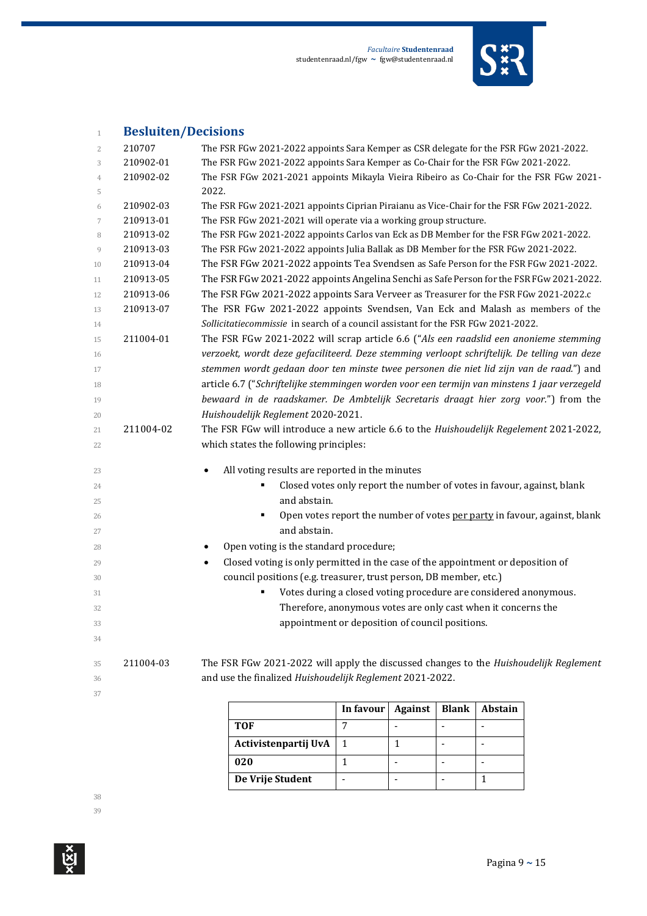

# **Besluiten/Decisions**

| $\overline{2}$ | 210707    | The FSR FGw 2021-2022 appoints Sara Kemper as CSR delegate for the FSR FGw 2021-2022.        |
|----------------|-----------|----------------------------------------------------------------------------------------------|
| 3              | 210902-01 | The FSR FGw 2021-2022 appoints Sara Kemper as Co-Chair for the FSR FGw 2021-2022.            |
| $\overline{4}$ | 210902-02 | The FSR FGw 2021-2021 appoints Mikayla Vieira Ribeiro as Co-Chair for the FSR FGw 2021-      |
| 5              |           | 2022.                                                                                        |
| 6              | 210902-03 | The FSR FGw 2021-2021 appoints Ciprian Piraianu as Vice-Chair for the FSR FGw 2021-2022.     |
| 7              | 210913-01 | The FSR FGw 2021-2021 will operate via a working group structure.                            |
| 8              | 210913-02 | The FSR FGw 2021-2022 appoints Carlos van Eck as DB Member for the FSR FGw 2021-2022.        |
| 9              | 210913-03 | The FSR FGw 2021-2022 appoints Julia Ballak as DB Member for the FSR FGw 2021-2022.          |
| 10             | 210913-04 | The FSR FGw 2021-2022 appoints Tea Svendsen as Safe Person for the FSR FGw 2021-2022.        |
| 11             | 210913-05 | The FSR FGw 2021-2022 appoints Angelina Senchi as Safe Person for the FSR FGw 2021-2022.     |
| 12             | 210913-06 | The FSR FGw 2021-2022 appoints Sara Verveer as Treasurer for the FSR FGw 2021-2022.c         |
| 13             | 210913-07 | The FSR FGw 2021-2022 appoints Svendsen, Van Eck and Malash as members of the                |
| 14             |           | Sollicitatiecommissie in search of a council assistant for the FSR FGw 2021-2022.            |
| 15             | 211004-01 | The FSR FGw 2021-2022 will scrap article 6.6 ("Als een raadslid een anonieme stemming        |
| 16             |           | verzoekt, wordt deze gefaciliteerd. Deze stemming verloopt schriftelijk. De telling van deze |
| 17             |           | stemmen wordt gedaan door ten minste twee personen die niet lid zijn van de raad.") and      |
| 18             |           | article 6.7 ("Schriftelijke stemmingen worden voor een termijn van minstens 1 jaar verzegeld |
| 19             |           | bewaard in de raadskamer. De Ambtelijk Secretaris draagt hier zorg voor.") from the          |
| 20             |           | Huishoudelijk Reglement 2020-2021.                                                           |
| 21             | 211004-02 | The FSR FGw will introduce a new article 6.6 to the Huishoudelijk Regelement 2021-2022,      |
| 22             |           | which states the following principles:                                                       |
| 23             |           | All voting results are reported in the minutes<br>$\bullet$                                  |
| 24             |           | Closed votes only report the number of votes in favour, against, blank                       |
| 25             |           | and abstain.                                                                                 |
| 26             |           | Open votes report the number of votes per party in favour, against, blank                    |
| 27             |           | and abstain.                                                                                 |
|                |           | Open voting is the standard procedure;<br>٠                                                  |
| 28             |           | Closed voting is only permitted in the case of the appointment or deposition of              |
| 29             |           | $\bullet$                                                                                    |
| 30             |           | council positions (e.g. treasurer, trust person, DB member, etc.)                            |
| 31             |           | Votes during a closed voting procedure are considered anonymous.                             |
| 32             |           | Therefore, anonymous votes are only cast when it concerns the                                |
| 33<br>34       |           | appointment or deposition of council positions.                                              |
|                |           |                                                                                              |
| 35             | 211004-03 | The FSR FGw 2021-2022 will apply the discussed changes to the Huishoudelijk Reglement        |
| 36             |           | and use the finalized Huishoudelijk Reglement 2021-2022.                                     |
| 37             |           |                                                                                              |
|                |           | $\vert$ In formul Against   Plank   Abstain                                                  |

|                      | In favour | <b>Against</b> | <b>Blank</b> | <b>Abstain</b> |
|----------------------|-----------|----------------|--------------|----------------|
| TOF                  |           |                |              |                |
| Activistenpartij UvA |           |                |              |                |
| 020                  |           |                |              |                |
| De Vrije Student     |           |                |              |                |

 $\mathop{\mathrm{Ker}}\nolimits^{\mathbf{X}}$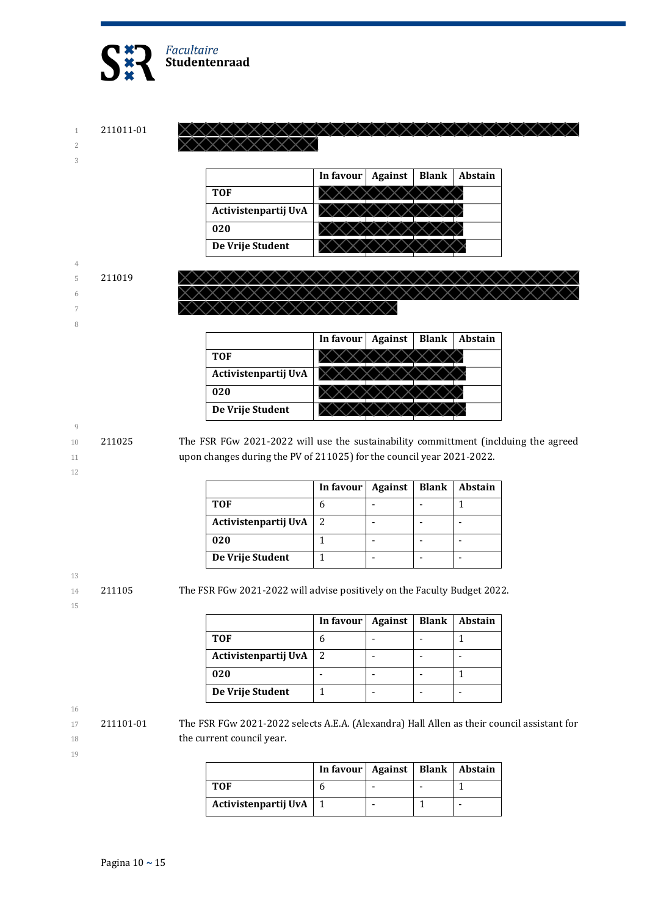

1 211011-01 2

3

|                      | In favour | <b>Against</b> | <b>Blank</b> | <b>Abstain</b> |
|----------------------|-----------|----------------|--------------|----------------|
| <b>TOF</b>           |           |                |              |                |
| Activistenpartij UvA |           |                |              |                |
| 020                  |           |                |              |                |
| De Vrije Student     |           |                |              |                |

XXXXXXXXXXXXXXXXXXX

#### 4 5 211019

- 6
- 7 8

**In favour | Against | Blank | Abstain TOF Activistenpartij UvA 020 De Vrije Student**

#### 9

12

10 211025 The FSR FGw 2021-2022 will use the sustainability committment (inclduing the agreed 11 upon changes during the PV of 211025) for the council year 2021-2022.

|                      | In favour $\vert$ | Against | <b>Blank</b> | <b>Abstain</b> |
|----------------------|-------------------|---------|--------------|----------------|
| <b>TOF</b>           |                   |         |              |                |
| Activistenpartij UvA |                   |         |              |                |
| 020                  |                   |         |              |                |
| De Vrije Student     |                   |         |              |                |

14 211105 The FSR FGw 2021-2022 will advise positively on the Faculty Budget 2022.

| í<br>٠<br>w | ۳<br>۰. |  |
|-------------|---------|--|

13

|                      | In favour | <b>Against</b> | <b>Blank</b> | Abstain |
|----------------------|-----------|----------------|--------------|---------|
| <b>TOF</b>           |           |                |              |         |
| Activistenpartij UvA |           |                |              |         |
| 020                  |           |                |              |         |
| De Vrije Student     |           |                |              |         |

16

17 211101-01 The FSR FGw 2021-2022 selects A.E.A. (Alexandra) Hall Allen as their council assistant for 18 the current council year.

| ٦<br>×<br>٠<br>I<br>۰. |  |
|------------------------|--|
|                        |  |

|                      | In favour   Against   Blank   Abstain |  |  |
|----------------------|---------------------------------------|--|--|
| <b>TOF</b>           |                                       |  |  |
| Activistenpartij UvA |                                       |  |  |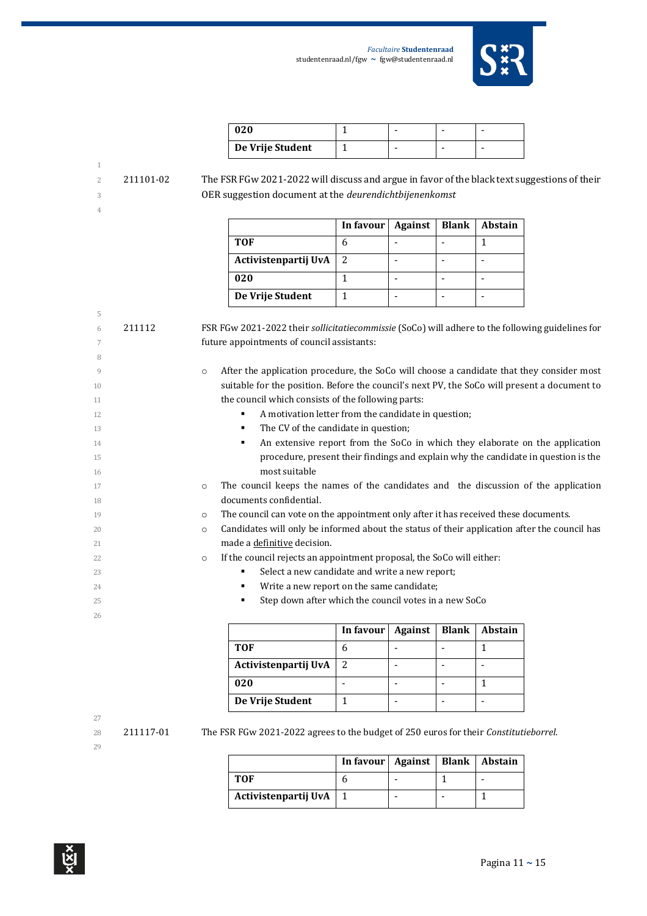

| 020              |  |  |
|------------------|--|--|
| De Vrije Student |  |  |

 211101-02 The FSR FGw 2021-2022 will discuss and argue in favor of the black text suggestions of their OER suggestion document at the *deurendichtbijenenkomst*

|                      | In favour | <b>Against</b> | <b>Blank</b> | <b>Abstain</b> |
|----------------------|-----------|----------------|--------------|----------------|
| TOF                  |           |                |              |                |
| Activistenpartij UvA |           |                |              |                |
| 020                  |           |                |              |                |
| De Vrije Student     |           |                |              |                |

| 5  |        |                                                                                                         |
|----|--------|---------------------------------------------------------------------------------------------------------|
| 6  | 211112 | FSR FGw 2021-2022 their sollicitatiecommissie (SoCo) will adhere to the following guidelines for        |
| 7  |        | future appointments of council assistants:                                                              |
| 8  |        |                                                                                                         |
| 9  |        | After the application procedure, the SoCo will choose a candidate that they consider most<br>$\circ$    |
| 10 |        | suitable for the position. Before the council's next PV, the SoCo will present a document to            |
| 11 |        | the council which consists of the following parts:                                                      |
| 12 |        | A motivation letter from the candidate in question;<br>٠                                                |
| 13 |        | The CV of the candidate in question;<br>٠                                                               |
| 14 |        | An extensive report from the SoCo in which they elaborate on the application<br>٠                       |
| 15 |        | procedure, present their findings and explain why the candidate in question is the                      |
| 16 |        | most suitable                                                                                           |
| 17 |        | The council keeps the names of the candidates and the discussion of the application<br>$\circ$          |
| 18 |        | documents confidential.                                                                                 |
| 19 |        | The council can vote on the appointment only after it has received these documents.<br>$\circ$          |
| 20 |        | Candidates will only be informed about the status of their application after the council has<br>$\circ$ |
| 21 |        | made a definitive decision.                                                                             |
| 22 |        | If the council rejects an appointment proposal, the SoCo will either:<br>$\circ$                        |
| 23 |        | Select a new candidate and write a new report;<br>٠                                                     |
| 24 |        | Write a new report on the same candidate;<br>٠                                                          |
| 25 |        | Step down after which the council votes in a new SoCo<br>٠                                              |
| 26 |        |                                                                                                         |

|                      | In favour   Against | <b>Blank</b> | Abstain |
|----------------------|---------------------|--------------|---------|
| TOF                  |                     |              |         |
| Activistenpartij UvA |                     |              |         |
| 020                  |                     |              |         |
| De Vrije Student     |                     |              |         |

# 

211117-01 The FSR FGw 2021-2022 agrees to the budget of 250 euros for their *Constitutieborrel*.

|                      | In favour   Against   Blank   Abstain |  |  |
|----------------------|---------------------------------------|--|--|
| TOF                  |                                       |  |  |
| Activistenpartij UvA |                                       |  |  |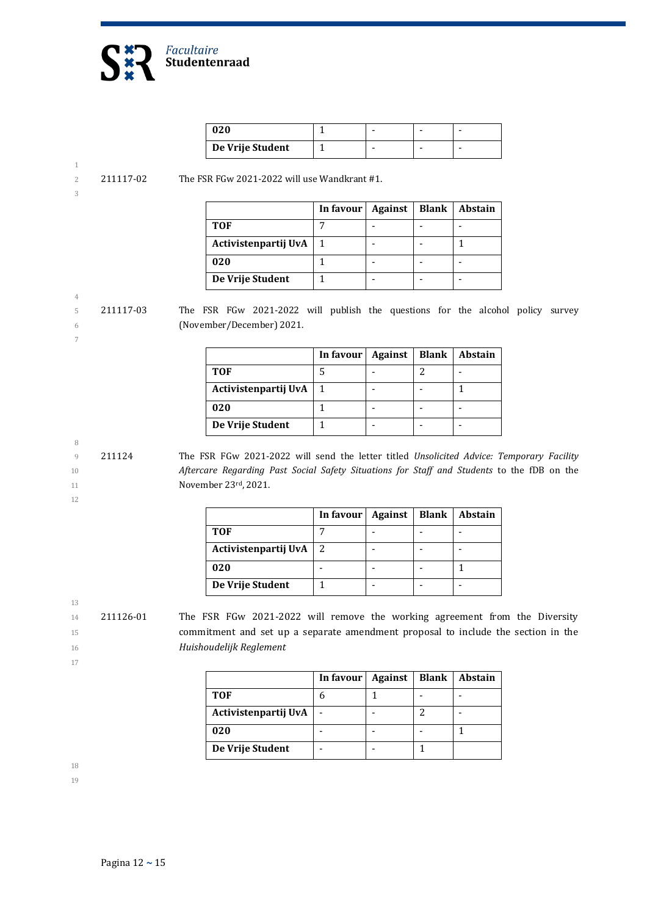

| 020              |  |  |
|------------------|--|--|
| De Vrije Student |  |  |

2 211117-02 The FSR FGw 2021-2022 will use Wandkrant #1.

| I<br>ı |    |  |
|--------|----|--|
| I      | ٦  |  |
|        | i  |  |
| M.     | ۰. |  |
|        |    |  |

4

7

|                      | In favour | Against | Blank | Abstain |
|----------------------|-----------|---------|-------|---------|
| <b>TOF</b>           |           |         |       |         |
| Activistenpartij UvA |           |         |       |         |
| 020                  |           |         |       |         |
| De Vrije Student     |           |         |       |         |

5 211117-03 The FSR FGw 2021-2022 will publish the questions for the alcohol policy survey 6 (November/December) 2021.

> **In favour | Against | Blank | Abstain TOF** 5 - 2 - **Activistenpartij UvA** 1 - - 1 **020** 1 - -**De Vrije Student** | 1 | - | - | -

9 211124 The FSR FGw 2021-2022 will send the letter titled *Unsolicited Advice: Temporary Facility*  10 *Aftercare Regarding Past Social Safety Situations for Staff and Students* to the fDB on the 11 **November 23rd, 2021.** 

12

8

|                      | In favour $\vert$ | <b>Against</b> | <b>Blank</b> | Abstain |
|----------------------|-------------------|----------------|--------------|---------|
| <b>TOF</b>           |                   |                |              |         |
| Activistenpartij UvA | 2                 |                |              |         |
| 020                  |                   |                |              |         |
| De Vrije Student     |                   |                |              |         |

13

14 211126-01 The FSR FGw 2021-2022 will remove the working agreement from the Diversity 15 commitment and set up a separate amendment proposal to include the section in the 16 *Huishoudelijk Reglement*

17

|                      | In favour | Against | <b>Blank</b> | Abstain |
|----------------------|-----------|---------|--------------|---------|
| TOF                  |           |         |              |         |
| Activistenpartij UvA |           |         |              |         |
| 020                  |           |         |              |         |
| De Vrije Student     |           |         |              |         |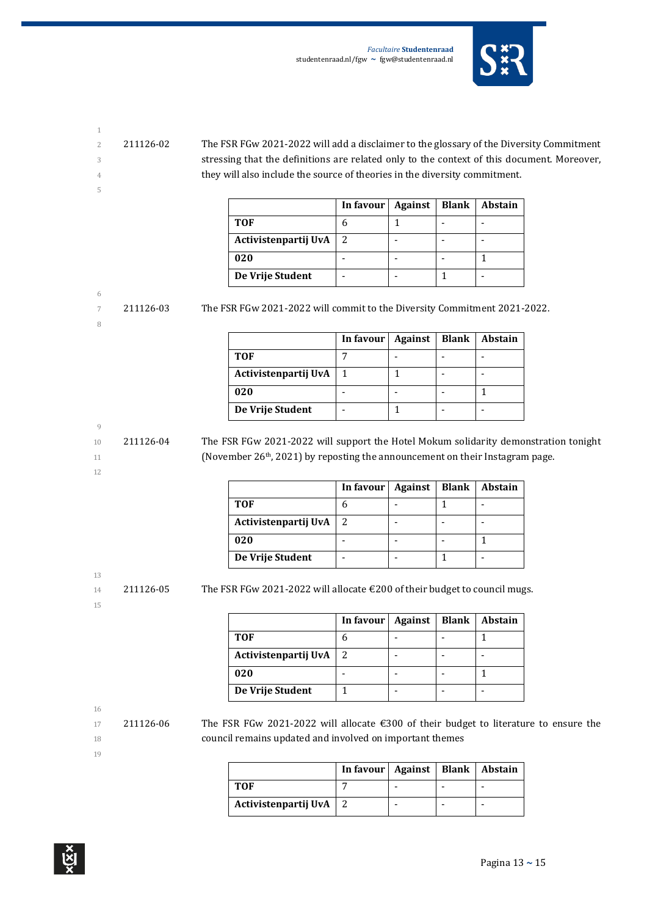

- 
- 

5

2 211126-02 The FSR FGw 2021-2022 will add a disclaimer to the glossary of the Diversity Commitment 3 stressing that the definitions are related only to the context of this document. Moreover, 4 they will also include the source of theories in the diversity commitment.

|                      | In favour   Against | <b>Blank</b> | Abstain |
|----------------------|---------------------|--------------|---------|
| <b>TOF</b>           |                     |              |         |
| Activistenpartij UvA |                     |              |         |
| 020                  |                     |              |         |
| De Vrije Student     |                     |              |         |

## 6

8

7 211126-03 The FSR FGw 2021-2022 will commit to the Diversity Commitment 2021-2022.

|                      | In favour $\vert$ | Against | <b>Blank</b> | <b>Abstain</b> |
|----------------------|-------------------|---------|--------------|----------------|
| <b>TOF</b>           |                   |         |              |                |
| Activistenpartij UvA |                   |         |              |                |
| 020                  |                   |         |              |                |
| De Vrije Student     |                   |         |              |                |

## 9

12

10 211126-04 The FSR FGw 2021-2022 will support the Hotel Mokum solidarity demonstration tonight 11 (November 26<sup>th</sup>, 2021) by reposting the announcement on their Instagram page.

|                      | In favour   Against | Blank | <b>Abstain</b> |
|----------------------|---------------------|-------|----------------|
| <b>TOF</b>           |                     |       |                |
| Activistenpartij UvA | 2                   |       |                |
| 020                  |                     |       |                |
| De Vrije Student     |                     |       |                |

# 13

15

14 211126-05 The FSR FGw 2021-2022 will allocate  $\epsilon$  200 of their budget to council mugs.

|                          | In favour   Against   Blank   Abstain |  |  |
|--------------------------|---------------------------------------|--|--|
| TOF                      |                                       |  |  |
| Activistenpartij UvA   2 |                                       |  |  |

| <b>TOF</b>           |   |  |  |
|----------------------|---|--|--|
| Activistenpartij UvA | 2 |  |  |
| 020                  |   |  |  |
| De Vrije Student     |   |  |  |

16

17 211126-06 The FSR FGw 2021-2022 will allocate €300 of their budget to literature to ensure the 18 council remains updated and involved on important themes

|                          | In favour   Against   Blank   Abstain |  |  |
|--------------------------|---------------------------------------|--|--|
| тоғ                      |                                       |  |  |
| Activistenpartij UvA   2 |                                       |  |  |

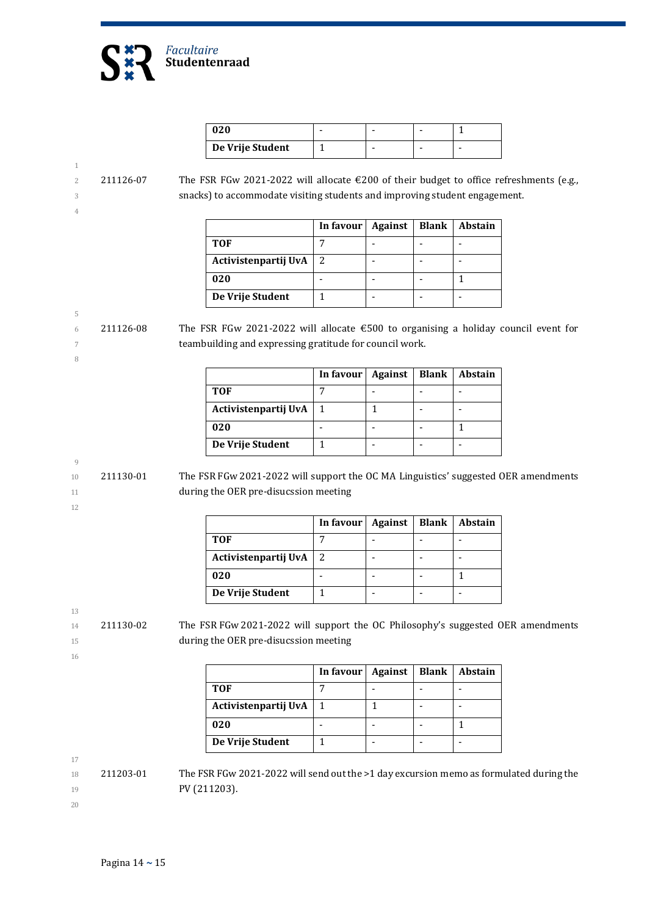

| 020              |  |   |
|------------------|--|---|
| De Vrije Student |  | - |

#### 1 2 211126-07 The FSR FGw 2021-2022 will allocate €200 of their budget to office refreshments (e.g., 3 snacks) to accommodate visiting students and improving student engagement. 4

|                      | In favour | Against | <b>Blank</b> | Abstain |
|----------------------|-----------|---------|--------------|---------|
| TOF                  |           |         |              |         |
| Activistenpartij UvA |           |         |              |         |
| 020                  |           |         |              |         |
| De Vrije Student     |           |         |              |         |

5 6 211126-08 The FSR FGw 2021-2022 will allocate  $\epsilon$  500 to organising a holiday council event for 7 teambuilding and expressing gratitude for council work.

|                      | In favour | Against | <b>Blank</b> | Abstain |
|----------------------|-----------|---------|--------------|---------|
| <b>TOF</b>           |           |         |              |         |
| Activistenpartij UvA |           |         |              |         |
| 020                  |           |         |              |         |
| De Vrije Student     |           |         |              |         |

$$
9\phantom{.00}
$$

12

8

10 211130-01 The FSR FGw 2021-2022 will support the OC MA Linguistics' suggested OER amendments 11 **during the OER pre-disucssion meeting** 

|                      | In favour   Against |  | Blank   Abstain |
|----------------------|---------------------|--|-----------------|
| <b>TOF</b>           |                     |  |                 |
| Activistenpartij UvA | 2                   |  |                 |
| 020                  |                     |  |                 |
| De Vrije Student     |                     |  |                 |

13

14 211130-02 The FSR FGw 2021-2022 will support the OC Philosophy's suggested OER amendments 15 during the OER pre-disucssion meeting

16

**In favour Against Blank Abstain TOF** 7 - - - Activistenpartij UvA  $\begin{vmatrix} 1 \\ 1 \end{vmatrix}$   $\begin{vmatrix} 1 \\ - \end{vmatrix}$  -**020** - 1 - 1 1 **De Vrije Student** | 1 | - | - | -

17

 $18$  211203-01 The FSR FGw 2021-2022 will send out the >1 day excursion memo as formulated during the 19 **PV (211203).**